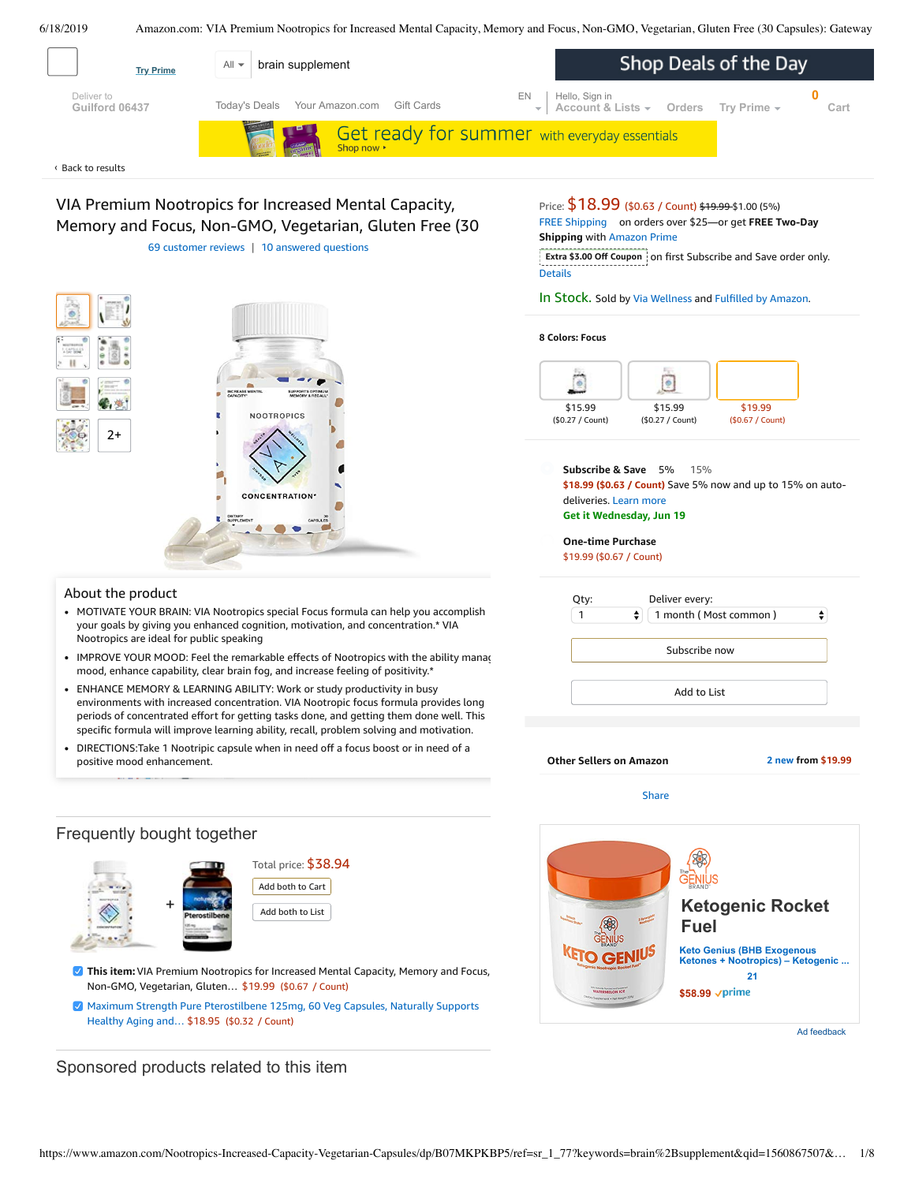<span id="page-0-0"></span>

In Stock. Sold by Via [Wellness](https://www.amazon.com/gp/help/seller/at-a-glance.html/ref=dp_merchant_link?ie=UTF8&seller=A16BNI5GG11JIF&isAmazonFulfilled=1) and Fulfilled by [Amazon](https://www.amazon.com/gp/help/customer/display.html?ie=UTF8&ref=dp_fulfillment&nodeId=106096011).

**8 Colors: Focus**



**Subscribe & Save \$18.99 (\$0.63 / Count)** Save 5% now and up to 15% on autodeliveries. Learn more **Get it Wednesday, Jun 19** 5% 15%

**One-time Purchase** \$19.99 (\$0.67 / Count)

#### About the product

 $2+$ 

MOTIVATE YOUR BRAIN: VIA Nootropics special Focus formula can help you accomplish your goals by giving you enhanced cognition, motivation, and concentration.\* VIA Nootropics are ideal for public speaking

**NOOTROPICS** 

CONCENTRATION

- IMPROVE YOUR MOOD: Feel the remarkable effects of Nootropics with the ability manag mood, enhance capability, clear brain fog, and increase feeling of positivity.\*
- ENHANCE MEMORY & LEARNING ABILITY: Work or study productivity in busy environments with increased concentration. VIA Nootropic focus formula provides long periods of concentrated effort for getting tasks done, and getting them done well. This specific formula will improve learning ability, recall, problem solving and motivation.
- [DIRECTIONS:Take](https://www.amazon.com/gp/redirect.html/ref=amb_link_1?_encoding=UTF8&location=https%3A%2F%2Fwww.amazon.com%2Fb%3Fnode%3D17904040011&source=standards&token=BE1FBDC111DBAC62750B07A4AFAFEF6D1A082253&pf_rd_m=ATVPDKIKX0DER&pf_rd_s=product-alert&pf_rd_r=3B05Z943G8KQ8Y8APB1Y&pf_rd_r=3B05Z943G8KQ8Y8APB1Y&pf_rd_t=201&pf_rd_p=82fa76b4-9a2f-4417-8a70-702f37d37a30&pf_rd_p=82fa76b4-9a2f-4417-8a70-702f37d37a30&pf_rd_i=B07MKPKBP5) 1 Nootripic capsule when in need off a focus boost or in need of a positive mood enhancement.

# Qty: Deliver every: 1 month ( Most common ) 1  $\bullet$  $\div$ Subscribe now Add to List

**Other Sellers on Amazon 2 [new](https://www.amazon.com/gp/offer-listing/B07MKPKBP5/ref=dp_olp_new_mbc?ie=UTF8&condition=new) from \$19.99**

[Share](mailto:?body=I%20want%20to%20recommend%20this%20product%20at%20Amazon.com%0A%0AVIA%20Premium%20Nootropics%20for%20Increased%20Mental%20Capacity%2C%20Memory%20and%20Focus%2C%20Non-GMO%2C%20Vegetarian%2C%20Gluten%20Free%20(30%20Capsules)%0Aby%20Via%20Wellness%0ALearn%20more%3A%20https%3A%2F%2Fwww.amazon.com%2Fdp%2FB07MKPKBP5%2Fref%3Dcm_sw_em_r_mt_dp_U_AUrcDb30Z4GK8&subject=I%20want%20to%20recommend%20this%20product%20on%20Amazon)



Maximum Strength Pure [Pterostilbene](https://www.amazon.com/Strength-Pterostilbene-Capsules-Naturally-Longevity/dp/B07GCBWB83/ref=pd_bxgy_121_2/143-6729050-3493109?_encoding=UTF8&pd_rd_i=B07GCBWB83&pd_rd_r=51f8a613-91ec-11e9-a3ac-ebbd02d573e6&pd_rd_w=Tl99p&pd_rd_wg=iyVJr&pf_rd_p=a2006322-0bc0-4db9-a08e-d168c18ce6f0&pf_rd_r=3B05Z943G8KQ8Y8APB1Y&psc=1&refRID=3B05Z943G8KQ8Y8APB1Y) 125mg, 60 Veg Capsules, Naturally Supports Healthy Aging and… \$18.95 (\$0.32 / Count)

#### Sponsored products related to this item



Ad feedback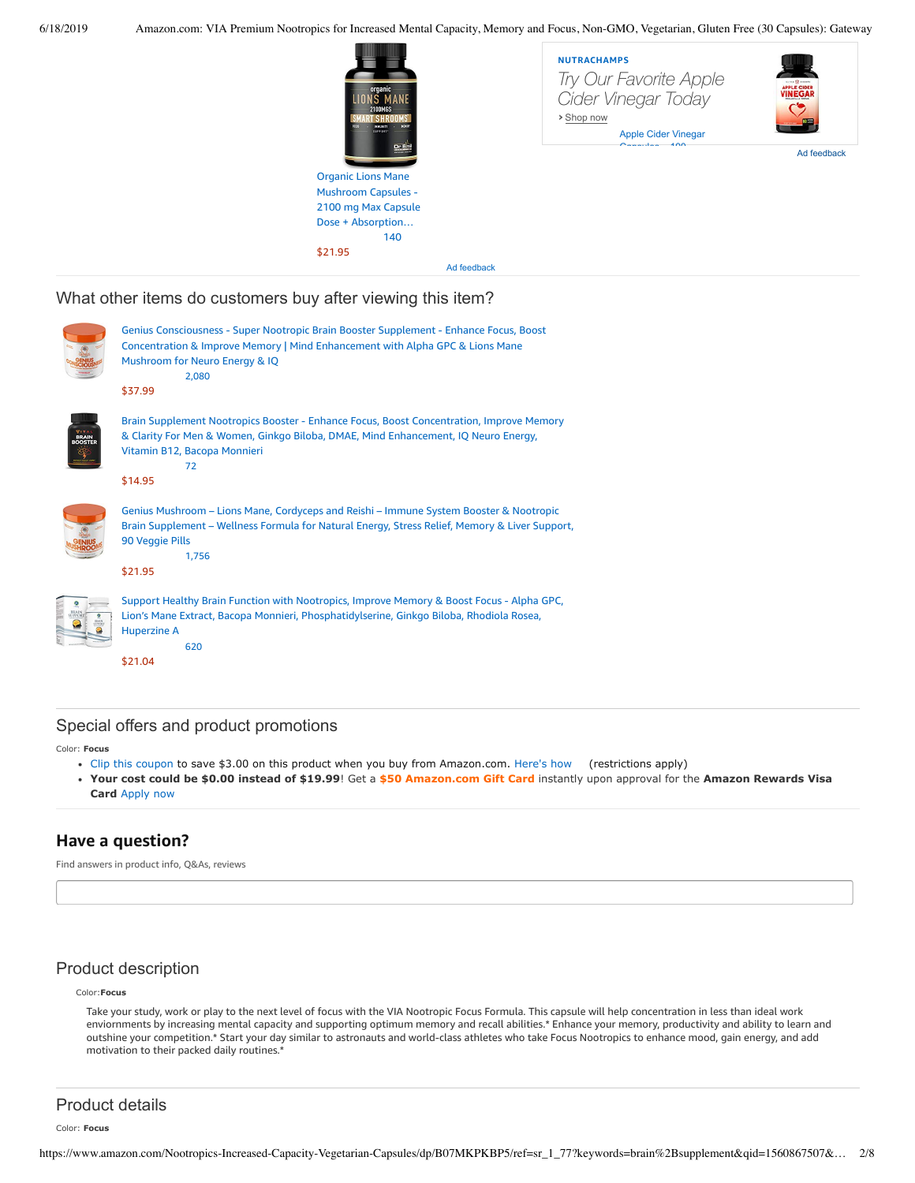6/18/2019 Amazon.com: VIA Premium Nootropics for Increased Mental Capacity, Memory and Focus, Non-GMO, Vegetarian, Gluten Free (30 Capsules): Gateway



Ad feedback

What other items do customers buy after viewing this item?



[\\$21.04](https://www.amazon.com/Support-Healthy-Function-Improve-Nootropics/dp/B01NCTY3HW/ref=pd_cp_121_4?pd_rd_w=dQ84h&pf_rd_p=ef4dc990-a9ca-4945-ae0b-f8d549198ed6&pf_rd_r=3B05Z943G8KQ8Y8APB1Y&pd_rd_r=51f8a613-91ec-11e9-a3ac-ebbd02d573e6&pd_rd_wg=iyVJr&pd_rd_i=B01NCTY3HW&psc=1&refRID=3B05Z943G8KQ8Y8APB1Y)

## Special offers and product promotions

Color: **Focus**

- [Clip this coupon](https://www.amazon.com/gp/sign-in.html?ie=UTF8&ref=&email=&redirectASIN=B07MKPKBP5&disableCorpSignUp=&path=%2Fgp%2Fcoupon%2Fc%2ATY12YHXBJ3FSFA2KWAJZXU70VKG&redirectProtocol=&mode=&useRedirectOnSuccess=1) to save \$3.00 on this product when you buy from Amazon.com. [Here's how](javascript:void(0))  (restrictions apply)
- **[Your cost could be \\$0.00 instead of \\$19.99](https://www.amazon.com/gp/cobrandcard/marketing.html?pr=con321&inc=50gcUnrec&ts=bc3qvvc1gbw8ndpsujeg439wlqjd8yz&dasin=B07MKPKBP5&plattr=math&place=detailpage&imp=6a135ec2-6b46-4c78-8489-8450f1a554bf)**! Get a **\$50 Amazon.com Gift Card** instantly upon approval for the **Amazon Rewards Visa Card** Apply now

## **Have a question?**

Find answers in product info, Q&As, reviews

## Product description

Color:**Focus**

Take your study, work or play to the next level of focus with the VIA Nootropic Focus Formula. This capsule will help concentration in less than ideal work enviornments by increasing mental capacity and supporting optimum memory and recall abilities.\* Enhance your memory, productivity and ability to learn and outshine your competition.\* Start your day similar to astronauts and world-class athletes who take Focus Nootropics to enhance mood, gain energy, and add motivation to their packed daily routines.\*

#### Product details

Color: **Focus**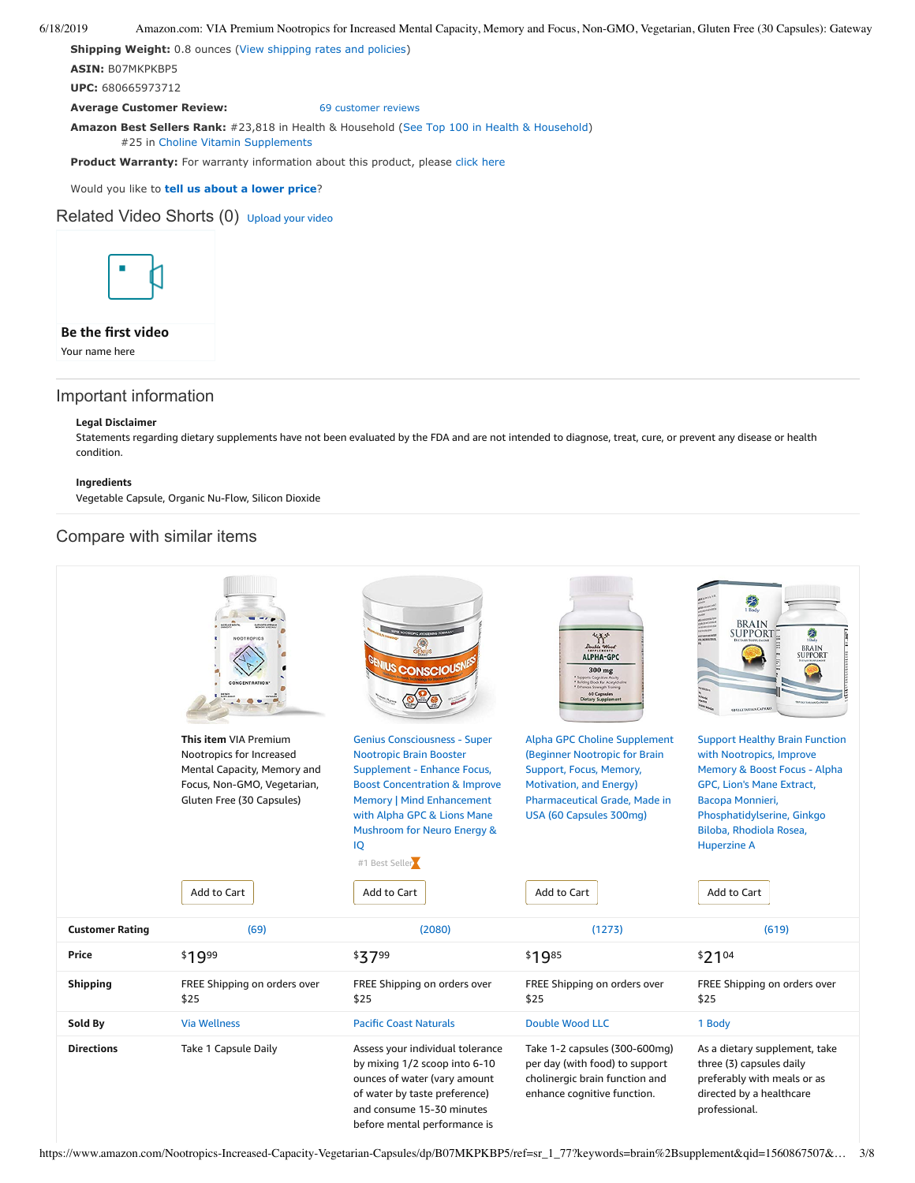#### 6/18/2019 Amazon.com: VIA Premium Nootropics for Increased Mental Capacity, Memory and Focus, Non-GMO, Vegetarian, Gluten Free (30 Capsules): Gateway

**Shipping Weight:** 0.8 ounces [\(View shipping rates and policies\)](https://www.amazon.com/gp/help/seller/shipping.html/ref=dp_pd_shipping?ie=UTF8&asin=B07MKPKBP5&seller=ATVPDKIKX0DER)

**ASIN:** B07MKPKBP5

**UPC:** 680665973712

**Average Customer Review:** [69 customer reviews](https://www.amazon.com/product-reviews/B07MKPKBP5/ref=acr_dpproductdetail_text?ie=UTF8&showViewpoints=1)

**Amazon Best Sellers Rank:** #23,818 in Health & Household ([See Top 100 in Health & Household\)](https://www.amazon.com/gp/bestsellers/hpc/ref=pd_zg_ts_hpc)

**Product Warranty:** For warranty information about this product, please [click here](https://www.amazon.com/gp/feature.html/ref=dp_warranty_request_3P?ie=UTF8&docId=1002406021)

Would you like to **tell us about a lower price**?

#25 in [Choline Vitamin Supplements](https://www.amazon.com/gp/bestsellers/hpc/6939007011/ref=pd_zg_hrsr_hpc)

## Related Video Shorts (0) [Upload](https://www.amazon.com/creatorhub/video/upload?productASIN=B07MKPKBP5&referringURL=ZHAvQjA3TUtQS0JQNQ%3D%3D&ref=RVSW) your video



#### **Be the first video**

Your name here

## Important information

#### **Legal Disclaimer**

Statements regarding dietary supplements have not been evaluated by the FDA and are not intended to diagnose, treat, cure, or prevent any disease or health condition.

#### **Ingredients**

Vegetable Capsule, Organic Nu-Flow, Silicon Dioxide

## Compare with similar items

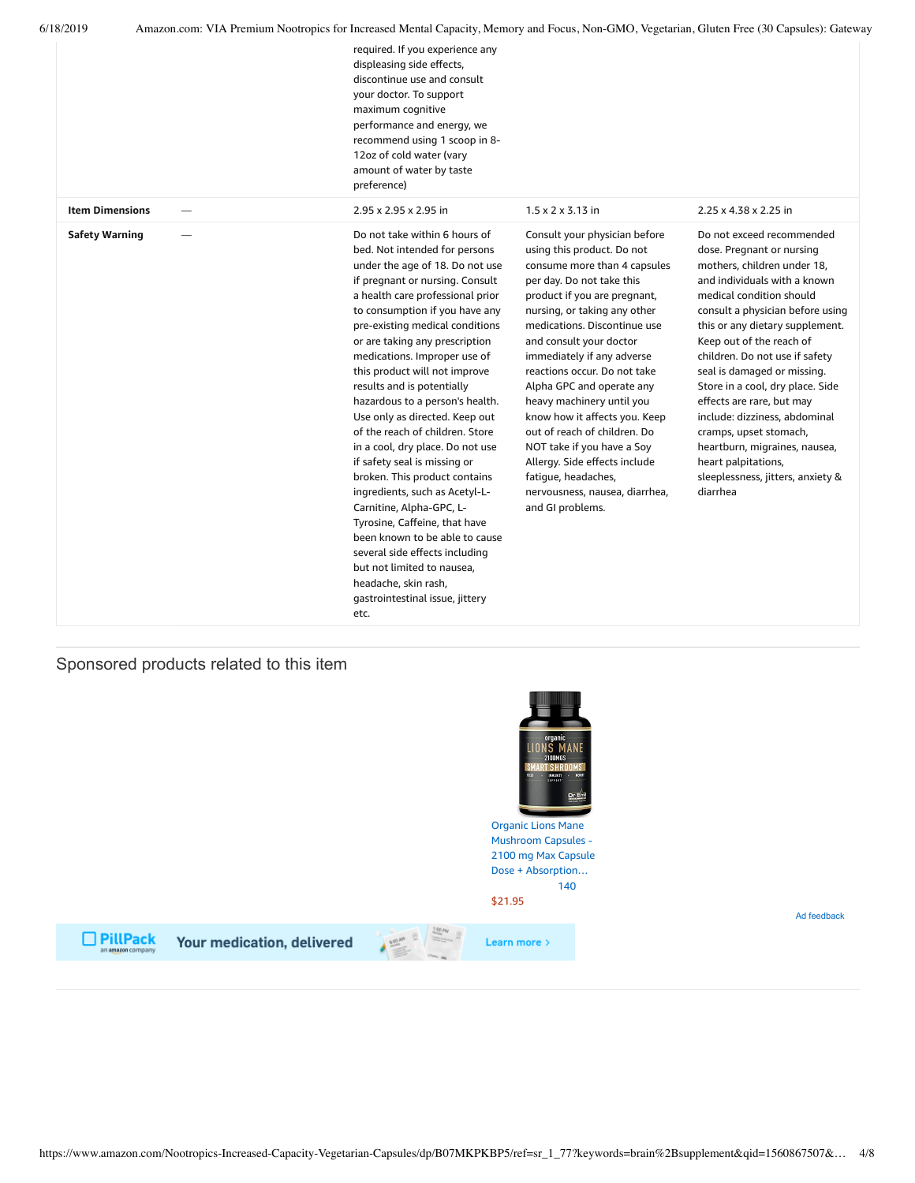|                        | required. If you experience any<br>displeasing side effects,<br>discontinue use and consult<br>your doctor. To support<br>maximum cognitive<br>performance and energy, we<br>recommend using 1 scoop in 8-<br>12oz of cold water (vary<br>amount of water by taste<br>preference)                                                                                                                                                                                                                                                                                                                                                                                                                                                                                                                                                                               |                                                                                                                                                                                                                                                                                                                                                                                                                                                                                                                                                                                          |                                                                                                                                                                                                                                                                                                                                                                                                                                                                                                                                                            |
|------------------------|-----------------------------------------------------------------------------------------------------------------------------------------------------------------------------------------------------------------------------------------------------------------------------------------------------------------------------------------------------------------------------------------------------------------------------------------------------------------------------------------------------------------------------------------------------------------------------------------------------------------------------------------------------------------------------------------------------------------------------------------------------------------------------------------------------------------------------------------------------------------|------------------------------------------------------------------------------------------------------------------------------------------------------------------------------------------------------------------------------------------------------------------------------------------------------------------------------------------------------------------------------------------------------------------------------------------------------------------------------------------------------------------------------------------------------------------------------------------|------------------------------------------------------------------------------------------------------------------------------------------------------------------------------------------------------------------------------------------------------------------------------------------------------------------------------------------------------------------------------------------------------------------------------------------------------------------------------------------------------------------------------------------------------------|
| <b>Item Dimensions</b> | 2.95 x 2.95 x 2.95 in                                                                                                                                                                                                                                                                                                                                                                                                                                                                                                                                                                                                                                                                                                                                                                                                                                           | $1.5 \times 2 \times 3.13$ in                                                                                                                                                                                                                                                                                                                                                                                                                                                                                                                                                            | 2.25 x 4.38 x 2.25 in                                                                                                                                                                                                                                                                                                                                                                                                                                                                                                                                      |
| <b>Safety Warning</b>  | Do not take within 6 hours of<br>bed. Not intended for persons<br>under the age of 18. Do not use<br>if pregnant or nursing. Consult<br>a health care professional prior<br>to consumption if you have any<br>pre-existing medical conditions<br>or are taking any prescription<br>medications. Improper use of<br>this product will not improve<br>results and is potentially<br>hazardous to a person's health.<br>Use only as directed. Keep out<br>of the reach of children. Store<br>in a cool, dry place. Do not use<br>if safety seal is missing or<br>broken. This product contains<br>ingredients, such as Acetyl-L-<br>Carnitine, Alpha-GPC, L-<br>Tyrosine, Caffeine, that have<br>been known to be able to cause<br>several side effects including<br>but not limited to nausea,<br>headache, skin rash,<br>gastrointestinal issue, jittery<br>etc. | Consult your physician before<br>using this product. Do not<br>consume more than 4 capsules<br>per day. Do not take this<br>product if you are pregnant,<br>nursing, or taking any other<br>medications. Discontinue use<br>and consult your doctor<br>immediately if any adverse<br>reactions occur. Do not take<br>Alpha GPC and operate any<br>heavy machinery until you<br>know how it affects you. Keep<br>out of reach of children. Do<br>NOT take if you have a Soy<br>Allergy. Side effects include<br>fatique, headaches,<br>nervousness, nausea, diarrhea,<br>and GI problems. | Do not exceed recommended<br>dose. Pregnant or nursing<br>mothers, children under 18,<br>and individuals with a known<br>medical condition should<br>consult a physician before using<br>this or any dietary supplement.<br>Keep out of the reach of<br>children. Do not use if safety<br>seal is damaged or missing.<br>Store in a cool, dry place. Side<br>effects are rare, but may<br>include: dizziness, abdominal<br>cramps, upset stomach,<br>heartburn, migraines, nausea,<br>heart palpitations,<br>sleeplessness, jitters, anxiety &<br>diarrhea |

# Sponsored products related to this item

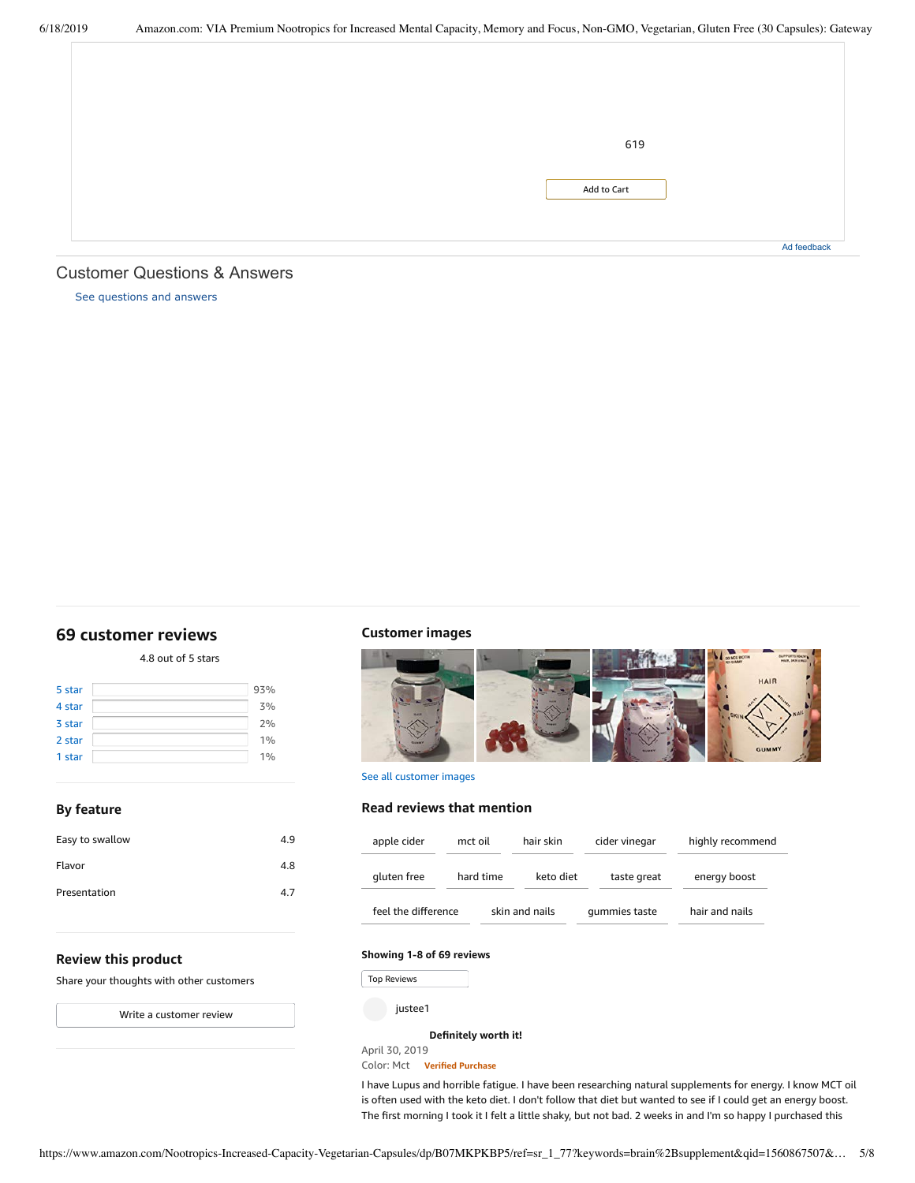| 619         |
|-------------|
|             |
| Add to Cart |
|             |
|             |
| Ad feedback |

#### <span id="page-4-1"></span>Customer Questions & Answers

[See questions and answers](https://www.amazon.com/ask/questions/asin/B07MKPKBP5/ref=cm_cd_dp_lla_ql_ll)

## <span id="page-4-0"></span>**[69 customer](https://www.amazon.com/Nootropics-Increased-Capacity-Vegetarian-Capsules/product-reviews/B07MKPKBP5/ref=cm_cr_dp_d_show_all_top?ie=UTF8&reviewerType=all_reviews) reviews**

4.8 out of 5 [stars](javascript:void(0))

| 5 star | 93% |
|--------|-----|
| 4 star | 3%  |
| 3 star | 2%  |
| 2 star | 1%  |
| 1 star | 1%  |

#### **By feature**

| Easy to swallow | 4.9 |
|-----------------|-----|
| Flavor          | 4.8 |
| Presentation    | 4.7 |

#### **Customer images**



#### See all customer images

#### **Read reviews that mention**

| apple cider         | mct oil   | hair skin      | cider vinegar | highly recommend |
|---------------------|-----------|----------------|---------------|------------------|
| gluten free         | hard time | keto diet      | taste great   | energy boost     |
| feel the difference |           | skin and nails | qummies taste | hair and nails   |

#### **Review this product**

Share your thoughts with other customers

Write a [customer](https://www.amazon.com/review/create-review/ref=cm_cr_dp_d_wr_but_top?ie=UTF8&channel=glance-detail&asin=B07MKPKBP5) review

# **Showing 1-8 of 69 reviews**

Top Reviews Top Reviews

justee1

**[Definitely](https://www.amazon.com/gp/customer-reviews/RVEFC5N63CXLR/ref=cm_cr_dp_d_rvw_ttl?ie=UTF8&ASIN=B07MKPKBP5) worth it!**

April 30, 2019

Color: Mct **Verified Purchase**

I have Lupus and horrible fatigue. I have been researching natural supplements for energy. I know MCT oil is often used with the keto diet. I don't follow that diet but wanted to see if I could get an energy boost. The first morning I took it I felt a little shaky, but not bad. 2 weeks in and I'm so happy I purchased this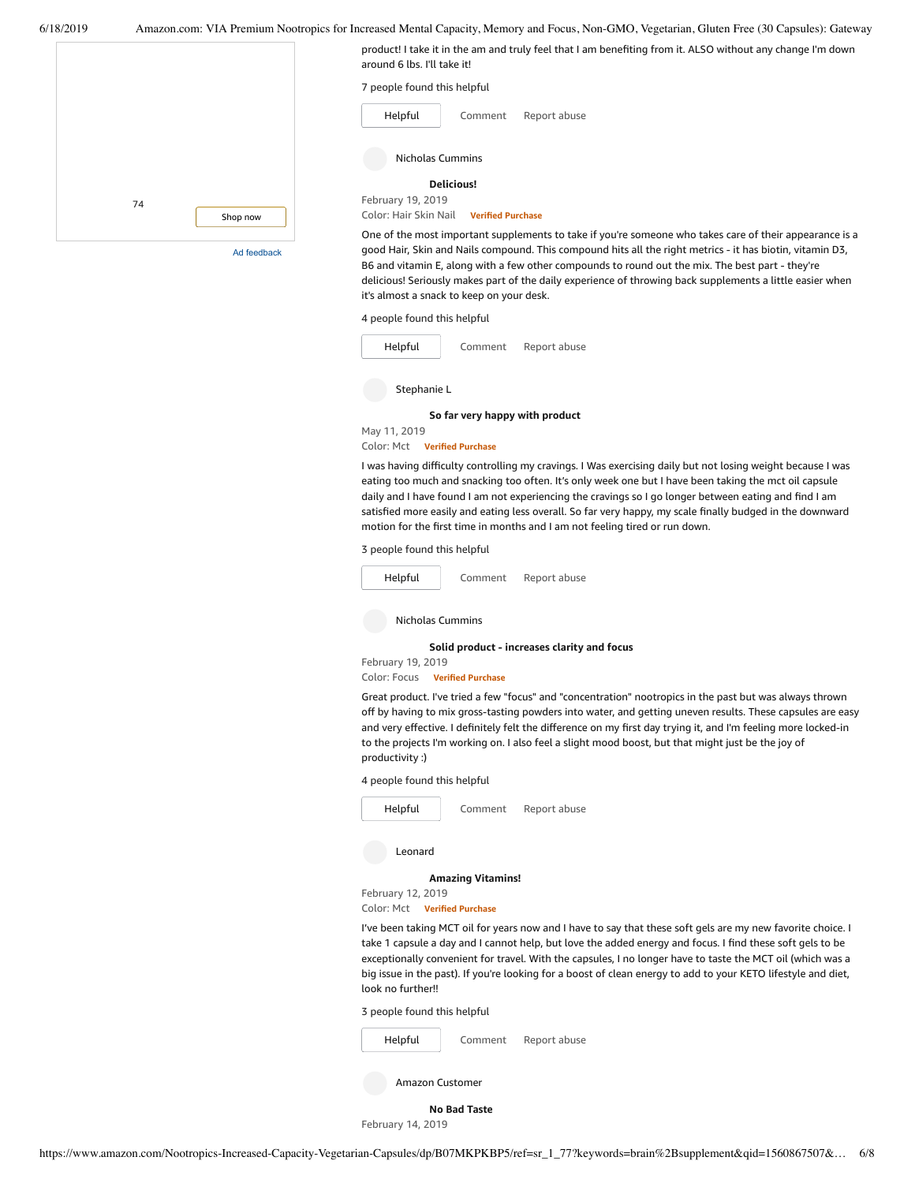6/18/2019 Amazon.com: VIA Premium Nootropics for Increased Mental Capacity, Memory and Focus, Non-GMO, Vegetarian, Gluten Free (30 Capsules): Gateway [74](https://www.amazon.com/dp/B07JBBMZD8?ref=dacx_dp_1498493970601_5987127880501&aaxitk=v2PG3pos5JOyx9o5aANrvg) [Shop](https://www.amazon.com/dp/B07JBBMZD8?ref=dacx_dp_1498493970601_5987127880501&aaxitk=v2PG3pos5JOyx9o5aANrvg) now 7 people found this helpful [Comment](https://www.amazon.com/gp/customer-reviews/RVEFC5N63CXLR/ref=cm_cr_dp_d_rvw_btm?ie=UTF8&ASIN=B07MKPKBP5#wasThisHelpful) [Report](https://www.amazon.com/hz/reviews-render/report-abuse?ie=UTF8&voteDomain=Reviews&ref=cm_cr_dp_d_rvw_hlp&csrfT=guR3vM3axZkqDZwrRxT3irYqBrebh%2FQCFfTECeIAAAABAAAAAF0JG5pyYXcAAAAA%2B4kUEk%2F7iMGR3xPcX6iU&entityId=RVEFC5N63CXLR&sessionId=143-6729050-3493109) abuse product! I take it in the am and truly feel that I am benefiting from it. ALSO without any change I'm down around 6 lbs. I'll take it! [Helpful](https://www.amazon.com/ap/signin?openid.return_to=https%3A%2F%2Fwww.amazon.com%2Fdp%2FB07MKPKBP5%2Fref%3Dcm_cr_dp_d_vote_lft%3Fie%3DUTF8%26voteInstanceId%3DRVEFC5N63CXLR%26voteValue%3D1%26csrfT%3DguR3vM3axZkqDZwrRxT3irYqBrebh%252FQCFfTECeIAAAABAAAAAF0JG5pyYXcAAAAA%252B4kUEk%252F7iMGR3xPcX6iU%23RVEFC5N63CXLR&openid.identity=http%3A%2F%2Fspecs.openid.net%2Fauth%2F2.0%2Fidentifier_select&openid.claimed_id=http%3A%2F%2Fspecs.openid.net%2Fauth%2F2.0%2Fidentifier_select&openid.assoc_handle=usflex&openid.mode=checkid_setup&openid.ns=http%3A%2F%2Fspecs.openid.net%2Fauth%2F2.0) **[Delicious!](https://www.amazon.com/gp/customer-reviews/R1LJGC09QJE0W1/ref=cm_cr_dp_d_rvw_ttl?ie=UTF8&ASIN=B07MKPKBP5)** February 19, 2019 Color: Hair Skin Nail **Verified Purchase** Nicholas Cummins One of the most important supplements to take if you're someone who takes care of their appearance is a

| Ad feedback |
|-------------|
|-------------|

good Hair, Skin and Nails compound. This compound hits all the right metrics - it has biotin, vitamin D3, B6 and vitamin E, along with a few other compounds to round out the mix. The best part - they're delicious! Seriously makes part of the daily experience of throwing back supplements a little easier when it's almost a snack to keep on your desk.

4 people found this helpful

| Helpful | Comment | Report abuse |
|---------|---------|--------------|
|         |         |              |

Stephanie L

**So far very happy with [product](https://www.amazon.com/gp/customer-reviews/R1SBLMZIOYXIR8/ref=cm_cr_dp_d_rvw_ttl?ie=UTF8&ASIN=B07MKPKBP5)**

May 11, 2019

Color: Mct **Verified Purchase**

I was having difficulty controlling my cravings. I Was exercising daily but not losing weight because I was eating too much and snacking too often. It's only week one but I have been taking the mct oil capsule daily and I have found I am not experiencing the cravings so I go longer between eating and find I am satisfied more easily and eating less overall. So far very happy, my scale finally budged in the downward motion for the first time in months and I am not feeling tired or run down.

3 people found this helpful



Great product. I've tried a few "focus" and "concentration" nootropics in the past but was always thrown off by having to mix gross-tasting powders into water, and getting uneven results. These capsules are easy and very effective. I definitely felt the difference on my first day trying it, and I'm feeling more locked-in to the projects I'm working on. I also feel a slight mood boost, but that might just be the joy of productivity :)

4 people found this helpful



I've been taking MCT oil for years now and I have to say that these soft gels are my new favorite choice. I take 1 capsule a day and I cannot help, but love the added energy and focus. I find these soft gels to be exceptionally convenient for travel. With the capsules, I no longer have to taste the MCT oil (which was a big issue in the past). If you're looking for a boost of clean energy to add to your KETO lifestyle and diet, look no further!!

3 people found this helpful



February 14, 2019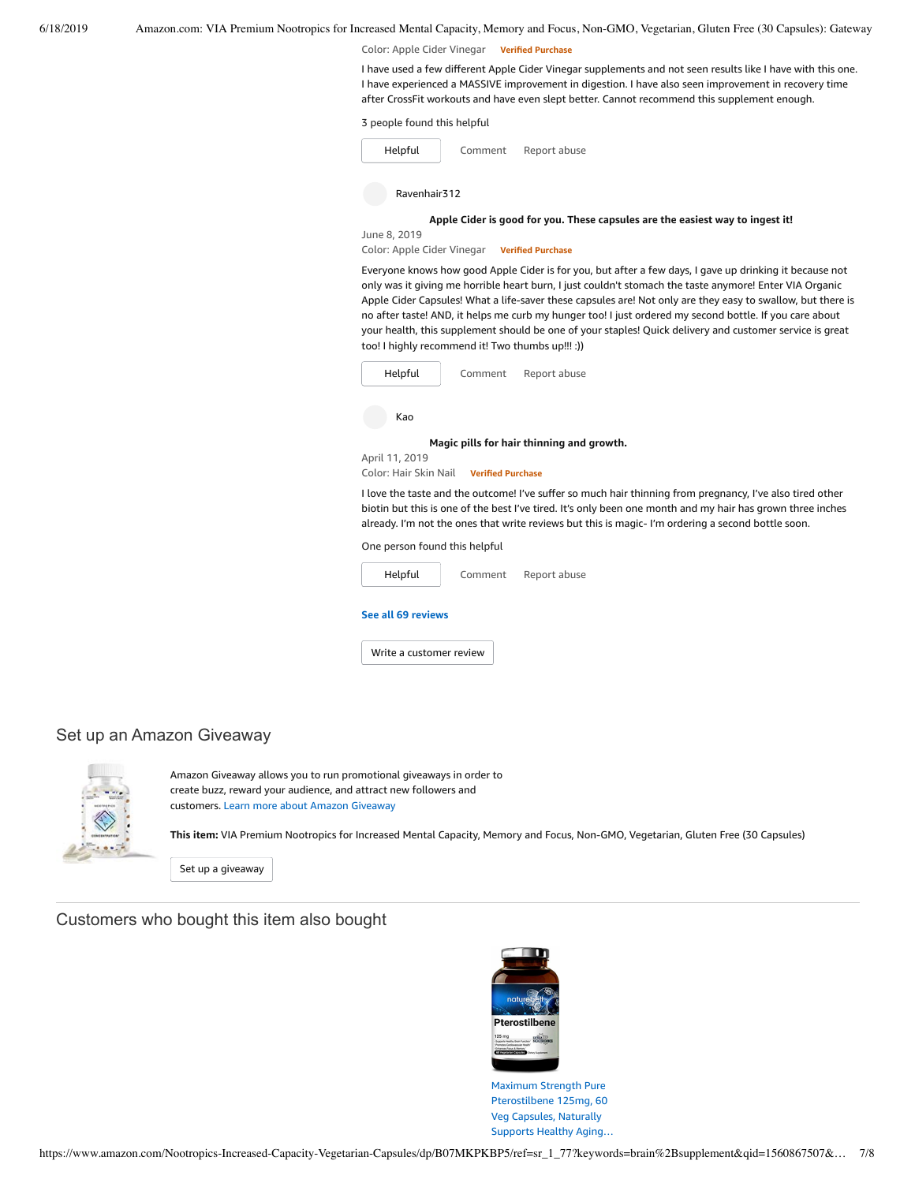Color: Apple Cider Vinegar **Verified Purchase**

I have used a few different Apple Cider Vinegar supplements and not seen results like I have with this one. I have experienced a MASSIVE improvement in digestion. I have also seen improvement in recovery time after CrossFit workouts and have even slept better. Cannot recommend this supplement enough.

3 people found this helpful

| Helpful      | Comment | Report abuse |  |
|--------------|---------|--------------|--|
| Ravenhair312 |         |              |  |

**Apple Cider is good for you. These capsules are the easiest way [to ingest](https://www.amazon.com/gp/customer-reviews/R237NWE9H60V1R/ref=cm_cr_dp_d_rvw_ttl?ie=UTF8&ASIN=B07MKPKBP5) it!** June 8, 2019

Color: Apple Cider Vinegar **Verified Purchase**

Everyone knows how good Apple Cider is for you, but after a few days, I gave up drinking it because not only was it giving me horrible heart burn, I just couldn't stomach the taste anymore! Enter VIA Organic Apple Cider Capsules! What a life-saver these capsules are! Not only are they easy to swallow, but there is no after taste! AND, it helps me curb my hunger too! I just ordered my second bottle. If you care about your health, this supplement should be one of your staples! Quick delivery and customer service is great too! I highly recommend it! Two thumbs up!!! :))

| Helpful | Comment | Report abuse                              |  |
|---------|---------|-------------------------------------------|--|
| Kao     |         |                                           |  |
|         |         | Magic pills for hair thinning and growth. |  |

April 11, 2019

Color: Hair Skin Nail **Verified Purchase**

I love the taste and the outcome! I've suffer so much hair thinning from pregnancy, I've also tired other biotin but this is one of the best I've tired. It's only been one month and my hair has grown three inches already. I'm not the ones that write reviews but this is magic- I'm ordering a second bottle soon.

One person found this helpful



## Set up an Amazon Giveaway



Amazon Giveaway allows you to run promotional giveaways in order to create buzz, reward your audience, and attract new followers and customers. Learn more about Amazon [Giveaway](https://www.amazon.com/gp/giveaway/home?ref=aga_dp_lm)

**This item:** VIA Premium Nootropics for Increased Mental Capacity, Memory and Focus, Non-GMO, Vegetarian, Gluten Free (30 Capsules)

Set up a [giveaway](https://www.amazon.com/giveaway/host/setup/ref=aga_h_su_dp?_encoding=UTF8&asin=B07MKPKBP5)

Customers who bought this item also bought



Maximum Strength Pure [Pterostilbene](https://www.amazon.com/Strength-Pterostilbene-Capsules-Naturally-Longevity/dp/B07GCBWB83/ref=pd_sim_121_1/143-6729050-3493109?_encoding=UTF8&pd_rd_i=B07GCBWB83&pd_rd_r=51f8a613-91ec-11e9-a3ac-ebbd02d573e6&pd_rd_w=Xs1Ps&pd_rd_wg=iyVJr&pf_rd_p=90485860-83e9-4fd9-b838-b28a9b7fda30&pf_rd_r=3B05Z943G8KQ8Y8APB1Y&psc=1&refRID=3B05Z943G8KQ8Y8APB1Y) 125mg, 60 Veg Capsules, Naturally Supports Healthy Aging…